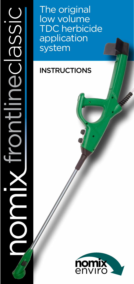From The original<br>FDC herbicic application<br>system<br>INSTRUCTIONS<br>INSTRUCTIONS

low volume TDC herbicide application system

# **INSTRUCTIONS**

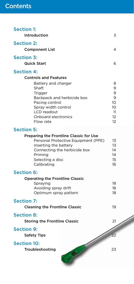| <b>Section 1:</b>  |                                                |          |  |
|--------------------|------------------------------------------------|----------|--|
| Introduction       |                                                | 3        |  |
| <b>Section 2:</b>  |                                                |          |  |
|                    | <b>Component List</b>                          | 4        |  |
| <b>Section 3:</b>  |                                                |          |  |
|                    | <b>Quick Start</b>                             | 6        |  |
| <b>Section 4:</b>  |                                                |          |  |
|                    | <b>Controls and Features</b>                   |          |  |
|                    | Battery and charger                            | 8        |  |
|                    | Shaft<br>Trigger                               | 9<br>9   |  |
|                    | Backpack and herbicide box                     | 9        |  |
|                    | Pacing control                                 | 10       |  |
|                    | Spray width control                            | 10       |  |
|                    | LCD readout                                    | 11       |  |
|                    | Onboard electronics<br>Flow rate               | 12<br>12 |  |
| <b>Section 5:</b>  |                                                |          |  |
|                    | <b>Preparing the Frontline Classic for Use</b> |          |  |
|                    | Personal Protective Equipment (PPE)            | 13       |  |
|                    | Inserting the battery                          | 13       |  |
|                    | Connecting the herbicide box                   | 14<br>14 |  |
|                    | Priming<br>Selecting a disc                    | 15       |  |
|                    | Calibrating                                    | 16       |  |
| <b>Section 6:</b>  |                                                |          |  |
|                    | <b>Operating the Frontline Classic</b>         |          |  |
|                    | Spraying                                       | 18       |  |
|                    | Avoiding spray drift                           | 18       |  |
|                    | Optimum spray pattern                          | 18       |  |
| <b>Section 7:</b>  |                                                |          |  |
|                    | <b>Cleaning the Frontline Classic</b>          | 19       |  |
| <b>Section 8:</b>  |                                                |          |  |
|                    | <b>Storing the Frontline Classic</b>           | 21       |  |
| <b>Section 9:</b>  |                                                |          |  |
| <b>Safety Tips</b> |                                                | 22       |  |
| <b>Section 10:</b> |                                                |          |  |
| Troubleshooting    | 23                                             |          |  |
|                    |                                                |          |  |

-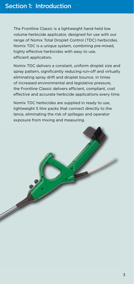The Frontline Classic is a lightweight hand-held low volume herbicide applicator, designed for use with our range of Nomix Total Droplet Control (TDC) herbicides. Nomix TDC is a unique system, combining pre-mixed, highly effective herbicides with easy to use, efficient applicators.

Nomix TDC delivers a constant, uniform droplet size and spray pattern, significantly reducing run-off and virtually eliminating spray drift and droplet bounce. In times of increased environmental and legislative pressure, the Frontline Classic delivers efficient, compliant, cost effective and accurate herbicide applications every time.

Nomix TDC herbicides are supplied in ready to use, lightweight 5 litre packs that connect directly to the lance, eliminating the risk of spillages and operator exposure from mixing and measuring.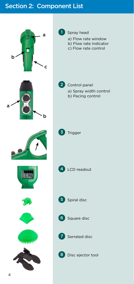# Section 2: Component List

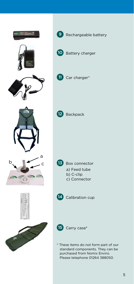





10 Battery charger



11 Car charger\*



12 Backpack



13 Box connector a) Feed tube b) C-clip c) Connector



14 Calibration cup



15 Carry case\*

\* These items do not form part of our standard components. They can be purchased from Nomix Enviro. Please telephone 01264 388050.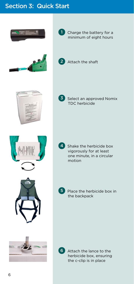# Section 3: Quick Start







minimum of eight hours







3 Select an approved Nomix TDC herbicide





**5** Place the herbicide box in the backpack



6 Attach the lance to the herbicide box, ensuring the c-clip is in place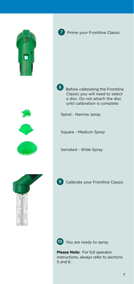



**7** Prime your Frontline Classic

8 Before calibrating the Frontline Classic you will need to select a disc. Do not attach the disc until calibration is complete

Spiral - Narrow spray

Square - Medium Spray

Serrated - Wide Spray



**9** Calibrate your Frontline Classic



10 You are ready to spray

**Please Note:** For full operator instructions, always refer to sections 5 and 6.

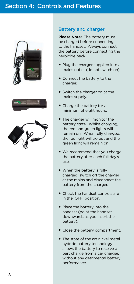





#### Battery and charger

**Please Note:** The battery must be charged before connecting it to the handset. Always connect the battery before connecting the herbicide pack.

- Plug the charger supplied into a mains outlet (do not switch on).
- Connect the battery to the charger.
- Switch the charger on at the mains supply.
- Charge the battery for a minimum of eight hours.
- The charger will monitor the battery state. Whilst charging, the red and green lights will remain on. When fully charged. the red light will go out and the green light will remain on.
- We recommend that you charge the battery after each full day's use.
- When the battery is fully charged, switch off the charger at the mains and disconnect the battery from the charger.
- Check the handset controls are in the 'OFF' position.
- Place the battery into the handset (point the handset downwards as you insert the battery).
- Close the battery compartment.
- The state of the art nickel metal hydride battery technology allows the battery to receive a part charge from a car charger, without any detrimental battery performance.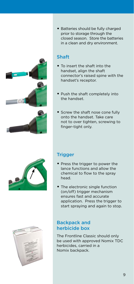





• Batteries should be fully charged prior to storage through the closed season. Store the batteries in a clean and dry environment.

### Shaft

- To insert the shaft into the handset, align the shaft connector's raised spine with the handset's receptor.
- Push the shaft completely into the handset.
- Screw the shaft nose cone fully onto the handset. Take care not to over tighten, screwing to finger-tight only.

## **Trigger**

- Press the trigger to power the lance functions and allow the chemical to flow to the spray head.
- The electronic single function (on/off) trigger mechanism ensures fast and accurate application. Press the trigger to start spraying and again to stop.

### Backpack and herbicide box

The Frontline Classic should only be used with approved Nomix TDC herbicides, carried in a Nomix backpack.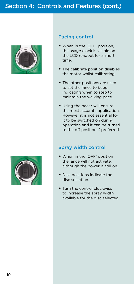



#### Pacing control

- When in the 'OFF' position, the usage clock is visible on the LCD readout for a short time.
- The calibrate position disables the motor whilst calibrating.
- The other positions are used to set the lance to beep, indicating when to step to maintain the walking pace.
- Using the pacer will ensure the most accurate application. However it is not essential for it to be switched on during operation and it can be turned to the off position if preferred.

#### Spray width control

- When in the 'OFF' position the lance will not activate, although the power is still on.
- Disc positions indicate the disc selection.
- Turn the control clockwise to increase the spray width available for the disc selected.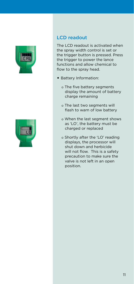



### LCD readout

The LCD readout is activated when the spray width control is set or the trigger button is pressed. Press the trigger to power the lance functions and allow chemical to flow to the spray head.

- Battery Information:
	- o The five battery segments display the amount of battery charge remaining
	- o The last two segments will flash to warn of low battery
	- o When the last segment shows as 'LO', the battery must be charged or replaced
	- o Shortly after the 'LO' reading displays, the processor will shut down and herbicide will not flow. This is a safety precaution to make sure the valve is not left in an open position.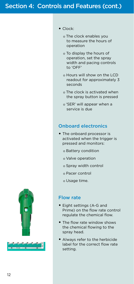#### • Clock:

- o The clock enables you to measure the hours of operation
- o To display the hours of operation, set the spray width and pacing controls to 'OFF'
- o Hours will show on the LCD readout for approximately 3 seconds
- o The clock is activated when the spray button is pressed
- o 'SER' will appear when a service is due

### Onboard electronics

- The onboard processor is activated when the trigger is pressed and monitors:
	- o Battery condition
	- o Valve operation
	- o Spray width control
	- o Pacer control
	- o Usage time.

#### Flow rate

- Eight settings (A-G and Prime) on the flow rate control regulate the chemical flow.
- The flow rate window shows the chemical flowing to the spray head.
- Always refer to the herbicide label for the correct flow rate setting.



 $2414$ 

12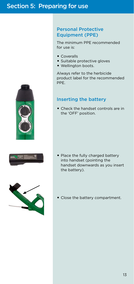#### Personal Protective Equipment (PPE)

The minimum PPE recommended for use is:

- Coveralls
- Suitable protective gloves
- Wellington boots.

Always refer to the herbicide product label for the recommended PPE.

### Inserting the battery

• Check the handset controls are in the 'OFF' position.



• Place the fully charged battery into handset (pointing the handset downwards as you insert the battery).



• Close the battery compartment.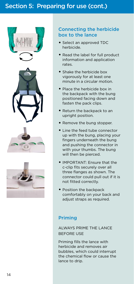



#### Connecting the herbicide box to the lance

- Select an approved TDC herbicide.
- Read the label for full product information and application rates.
- Shake the herbicide box vigorously for at least one minute in a circular motion.
- Place the herbicide box in the backpack with the bung positioned facing down and fasten the pack clips.
- Return the backpack to an upright position.
- Remove the bung stopper.
- Line the feed tube connector up with the bung, placing your fingers underneath the bung and pushing the connector in with your thumbs. The bung will then be pierced.
- IMPORTANT: Ensure that the c-clip fits securely over all three flanges as shown. The connector could pull out if it is not fitted correctly.
- Position the backpack comfortably on your back and adjust straps as required.

#### Priming

ALWAYS PRIME THE LANCE BEFORE USE

Priming fills the lance with herbicide and removes air bubbles, which could interrupt the chemical flow or cause the lance to drip.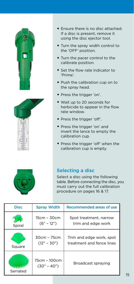



- Ensure there is no disc attached. If a disc is present, remove it using the disc ejector tool.
- Turn the spray width control to the 'OFF' position.
- Turn the pacer control to the calibrate position.
- Set the flow rate indicator to 'Prime'.
- Push the calibration cup on to the spray head.
- Press the trigger 'on'.
- Wait up to 20 seconds for herbicide to appear in the flow rate window.
- Press the trigger 'off'.
- Press the trigger 'on' and invert the lance to empty the calibration cup.
- Press the trigger 'off' when the calibration cup is empty.



#### Selecting a disc

Select a disc using the following table. Before connecting the disc, you must carry out the full calibration procedure on pages 16 & 17.

| <b>Disc</b> | <b>Spray Width</b>             | Recommended areas of use                              |
|-------------|--------------------------------|-------------------------------------------------------|
| Spiral      | 15cm - 30cm<br>$(6" - 12")$    | Spot treatment, narrow<br>trim and edge work          |
| Square      | $30cm - 75cm$<br>$(12" - 30")$ | Trim and edge work, spot<br>treatment and fence lines |
| Serrated    | 75cm - 100cm<br>$(30" - 40")$  | Broadcast spraying                                    |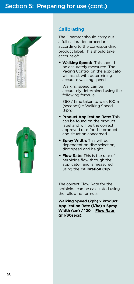



#### **Calibrating**

The Operator should carry out a full calibration procedure according to the corresponding product label. This should take account of:

• **Walking Speed:** This should be accurately measured. The Pacing Control on the applicator will assist with determining accurate walking speed.

Walking speed can be accurately determined using the following formula:

360 / time taken to walk 100m (seconds) = Walking Speed (kph)

- **Product Application Rate:** This can be found on the product label and will be the correct approved rate for the product and situation concerned.
- **Spray Width:** This will be dependent on disc selection, disc speed and height.
- **Flow Rate:** This is the rate of herbicide flow through the applicator, and is measured using the **Calibration Cup**.

The correct Flow Rate for the herbicide can be calculated using the following formula:

**Walking Speed (kph) x Product Application Rate (l/ha) x Spray Width (cm) / 120 = Flow Rate (ml/30secs).**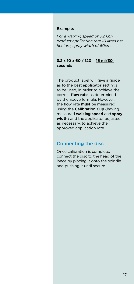#### Example:

*For a walking speed of 3.2 kph, product application rate 10 litres per hectare, spray width of 60cm:*

#### **3.2 x 10 x 60 / 120 = 16 ml/30 seconds**

The product label will give a guide as to the best applicator settings to be used, in order to achieve the correct **flow rate**, as determined by the above formula. However, the flow rate **must** be measured using the **Calibration Cup** (having measured **walking speed** and **spray width**) and the applicator adjusted as necessary, to achieve the approved application rate.

#### Connecting the disc

Once calibration is complete, connect the disc to the head of the lance by placing it onto the spindle and pushing it until secure.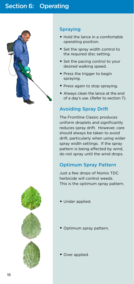# Section 6: Operating



#### **Spraving**

- Hold the lance in a comfortable operating position.
- Set the spray width control to the required disc setting.
- Set the pacing control to your desired walking speed.
- Press the trigger to begin spraying.
- Press again to stop spraying.
- Always clean the lance at the end of a day's use. (Refer to section 7).

### Avoiding Spray Drift

The Frontline Classic produces uniform droplets and significantly reduces spray drift. However, care should always be taken to avoid drift, particularly when using wider spray width settings. If the spray pattern is being affected by wind, do not spray until the wind drops.

### Optimum Spray Pattern

Just a few drops of Nomix TDC herbicide will control weeds. This is the optimum spray pattern.

- Under applied.
- Optimum spray pattern.
- Over applied.

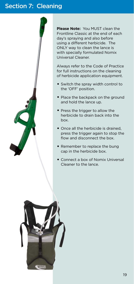## Section 7: Cleaning

**Please Note:** You MUST clean the Frontline Classic at the end of each day's spraying and also before using a different herbicide. The ONLY way to clean the lance is with specially formulated Nomix Universal Cleaner.

Always refer to the Code of Practice for full instructions on the cleaning of herbicide application equipment.

- Switch the spray width control to the 'OFF' position.
- Place the backpack on the ground and hold the lance up.
- Press the trigger to allow the herbicide to drain back into the box.
- Once all the herbicide is drained. press the trigger again to stop the flow and disconnect the box.
- Remember to replace the bung cap in the herbicide box.
- Connect a box of Nomix Universal Cleaner to the lance.

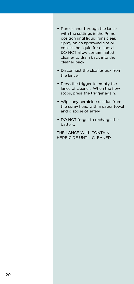- Run cleaner through the lance with the settings in the Prime position until liquid runs clear. Spray on an approved site or collect the liquid for disposal. DO NOT allow contaminated cleaner to drain back into the cleaner pack.
- Disconnect the cleaner box from the lance.
- Press the trigger to empty the lance of cleaner. When the flow stops, press the trigger again.
- Wipe any herbicide residue from the spray head with a paper towel and dispose of safely.
- DO NOT forget to recharge the battery.

THE LANCE WILL CONTAIN HERBICIDE UNTIL CLEANED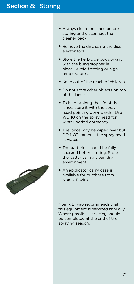## Section 8: Storing

- Always clean the lance before storing and disconnect the cleaner pack.
- Remove the disc using the disc ejector tool.
- Store the herbicide box upright. with the bung stopper in place. Avoid freezing or high temperatures.
- Keep out of the reach of children.
- Do not store other objects on top of the lance.
- To help prolong the life of the lance, store it with the spray head pointing downwards. Use WD40 on the spray head for winter period dormancy.
- The lance may be wiped over but DO NOT immerse the spray head in water.
- The batteries should be fully charged before storing. Store the batteries in a clean dry environment.
- An applicator carry case is available for purchase from Nomix Enviro.

Nomix Enviro recommends that this equipment is serviced annually. Where possible, servicing should be completed at the end of the spraying season.

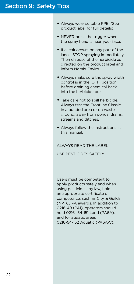## Section 9: Safety Tips

- Always wear suitable PPE. (See product label for full details).
- NEVER press the trigger when the spray head is near your face.
- If a leak occurs on any part of the lance, STOP spraying immediately. Then dispose of the herbicide as directed on the product label and inform Nomix Enviro.
- Always make sure the spray width control is in the 'OFF' position before draining chemical back into the herbicide box.
- Take care not to spill herbicide. Always test the Frontline Classic in a bunded area or on waste ground, away from ponds, drains, streams and ditches.
- Always follow the instructions in this manual.

#### ALWAYS READ THE LABEL

USE PESTICIDES SAFELY

Users must be competent to apply products safely and when using pesticides, by law, hold an appropriate certificate of competence, such as City & Guilds (NPTC) PA awards. In addition to 0216-49 (PA1), operators should hold 0216 -54-151 Land (PA6A), and for aquatic areas 0216-54-152 Aquatic (PA6AW).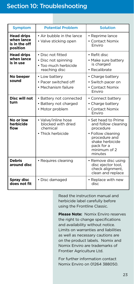## Section 10: Troubleshooting

| <b>Symptom</b>                                               | <b>Potential Problem</b>                                                          | <b>Solution</b>                                                                                                                                           |
|--------------------------------------------------------------|-----------------------------------------------------------------------------------|-----------------------------------------------------------------------------------------------------------------------------------------------------------|
| <b>Head drips</b><br>when lance<br>is in the off<br>position | • Air bubble in the lance<br>• Valve sticking open                                | • Reprime lance<br>• Contact Nomix<br>Enviro                                                                                                              |
| <b>Head drips</b><br>when lance<br>is in use                 | • Disc not fitted<br>• Disc not spinning<br>• Too much herbicide<br>reaching disc | • Refit disc<br>• Make sure battery<br>is charged<br>• Recalibrate                                                                                        |
| No beeper<br>sound                                           | • Low battery<br>• Pacer switched off<br>• Mechanism failure                      | • Charge battery<br>• Switch pacer on<br>• Contact Nomix<br>Fnviro                                                                                        |
| Disc will not<br>turn                                        | • Battery not connected<br>• Battery not charged<br>• Motor problem               | • Connect battery<br>• Charge battery<br>• Contact Nomix<br>Enviro                                                                                        |
| No or low<br>herbicide<br>flow                               | • Valve/inline hose<br>blocked with dried<br>chemical<br>• Thick herbicide        | • Set head to Prime<br>and follow cleaning<br>procedure<br>• Follow cleaning<br>procedure and<br>shake herbicide<br>pack for a<br>minimum of 2<br>minutes |
| <b>Debris</b><br>around disc                                 | • Requires cleaning                                                               | • Remove disc using<br>disc ejector tool,<br>check alignment,<br>clean and replace                                                                        |
| Spray disc<br>does not fit                                   | · Disc damaged                                                                    | • Replace with new<br>disc                                                                                                                                |

Read the instruction manual and herbicide label carefully before using the Frontline Classic.

**Please Note:** Nomix Enviro reserves the right to change specifications and availability without notice. Limits on warranties and liabilities as well as necessary cautions are on the product labels. Nomix and Nomix Enviro are trademarks of Frontier Agriculture Ltd.

For further information contact Nomix Enviro on 01264 388050.